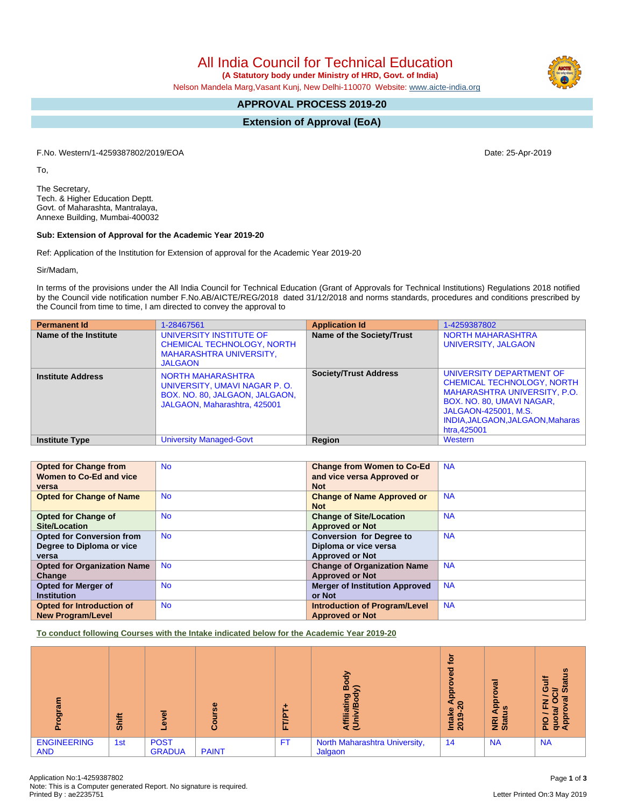All India Council for Technical Education

 **(A Statutory body under Ministry of HRD, Govt. of India)**

Nelson Mandela Marg,Vasant Kunj, New Delhi-110070 Website: [www.aicte-india.org](http://www.aicte-india.org)

# **APPROVAL PROCESS 2019-20**

**Extension of Approval (EoA)**

F.No. Western/1-4259387802/2019/EOA Date: 25-Apr-2019

To,

The Secretary, Tech. & Higher Education Deptt. Govt. of Maharashta, Mantralaya, Annexe Building, Mumbai-400032

### **Sub: Extension of Approval for the Academic Year 2019-20**

Ref: Application of the Institution for Extension of approval for the Academic Year 2019-20

Sir/Madam,

In terms of the provisions under the All India Council for Technical Education (Grant of Approvals for Technical Institutions) Regulations 2018 notified by the Council vide notification number F.No.AB/AICTE/REG/2018 dated 31/12/2018 and norms standards, procedures and conditions prescribed by the Council from time to time, I am directed to convey the approval to

| <b>Permanent Id</b>      | 1-28467561                                                                                                          | <b>Application Id</b>        | 1-4259387802                                                                                                                                                                                          |
|--------------------------|---------------------------------------------------------------------------------------------------------------------|------------------------------|-------------------------------------------------------------------------------------------------------------------------------------------------------------------------------------------------------|
| Name of the Institute    | UNIVERSITY INSTITUTE OF<br>CHEMICAL TECHNOLOGY, NORTH<br><b>MAHARASHTRA UNIVERSITY,</b><br><b>JALGAON</b>           | Name of the Society/Trust    | <b>NORTH MAHARASHTRA</b><br>UNIVERSITY, JALGAON                                                                                                                                                       |
| <b>Institute Address</b> | NORTH MAHARASHTRA<br>UNIVERSITY, UMAVI NAGAR P.O.<br>BOX. NO. 80, JALGAON, JALGAON,<br>JALGAON, Maharashtra, 425001 | <b>Society/Trust Address</b> | UNIVERSITY DEPARTMENT OF<br>CHEMICAL TECHNOLOGY, NORTH<br><b>MAHARASHTRA UNIVERSITY, P.O.</b><br>BOX. NO. 80, UMAVI NAGAR,<br>JALGAON-425001, M.S.<br>INDIA, JALGAON, JALGAON, Maharas<br>htra,425001 |
| <b>Institute Type</b>    | <b>University Managed-Govt</b>                                                                                      | <b>Region</b>                | Western                                                                                                                                                                                               |

| <b>Opted for Change from</b>       | <b>No</b> | <b>Change from Women to Co-Ed</b>     | <b>NA</b> |
|------------------------------------|-----------|---------------------------------------|-----------|
| Women to Co-Ed and vice            |           | and vice versa Approved or            |           |
| versa                              |           | <b>Not</b>                            |           |
|                                    |           |                                       |           |
| <b>Opted for Change of Name</b>    | <b>No</b> | <b>Change of Name Approved or</b>     | <b>NA</b> |
|                                    |           | <b>Not</b>                            |           |
| <b>Opted for Change of</b>         | <b>No</b> | <b>Change of Site/Location</b>        | <b>NA</b> |
| Site/Location                      |           | <b>Approved or Not</b>                |           |
| <b>Opted for Conversion from</b>   | <b>No</b> | <b>Conversion for Degree to</b>       | <b>NA</b> |
| Degree to Diploma or vice          |           | Diploma or vice versa                 |           |
| versa                              |           | <b>Approved or Not</b>                |           |
| <b>Opted for Organization Name</b> | <b>No</b> | <b>Change of Organization Name</b>    | <b>NA</b> |
| Change                             |           | <b>Approved or Not</b>                |           |
| <b>Opted for Merger of</b>         | <b>No</b> | <b>Merger of Institution Approved</b> | <b>NA</b> |
| <b>Institution</b>                 |           | or Not                                |           |
| Opted for Introduction of          | <b>No</b> | <b>Introduction of Program/Level</b>  | <b>NA</b> |
| <b>New Program/Level</b>           |           | <b>Approved or Not</b>                |           |

**To conduct following Courses with the Intake indicated below for the Academic Year 2019-20**

| 훈<br>ā                           | Shift | ᠊ᢛ<br>٥                      | 'Se<br>∍<br>ပြ | u.        | 융<br>ရွိ<br>s<br>ත<br>iatin<br>m<br>₹ತ   | tō<br>ಾ<br>Φ<br>c<br>윤<br>◓<br>Intake<br>ဓာ<br>$\overline{20}$ | ह<br>۰<br>윤<br>鱼<br>æ<br><b>E</b> ät | <b>Status</b><br>ŧ<br>O<br>₩<br>œ<br>z<br>$\bullet$<br>o<br>₫<br>운 호준 |
|----------------------------------|-------|------------------------------|----------------|-----------|------------------------------------------|----------------------------------------------------------------|--------------------------------------|-----------------------------------------------------------------------|
| <b>ENGINEERING</b><br><b>AND</b> | 1st   | <b>POST</b><br><b>GRADUA</b> | <b>PAINT</b>   | <b>FT</b> | North Maharashtra University,<br>Jalgaon | 14                                                             | <b>NA</b>                            | <b>NA</b>                                                             |

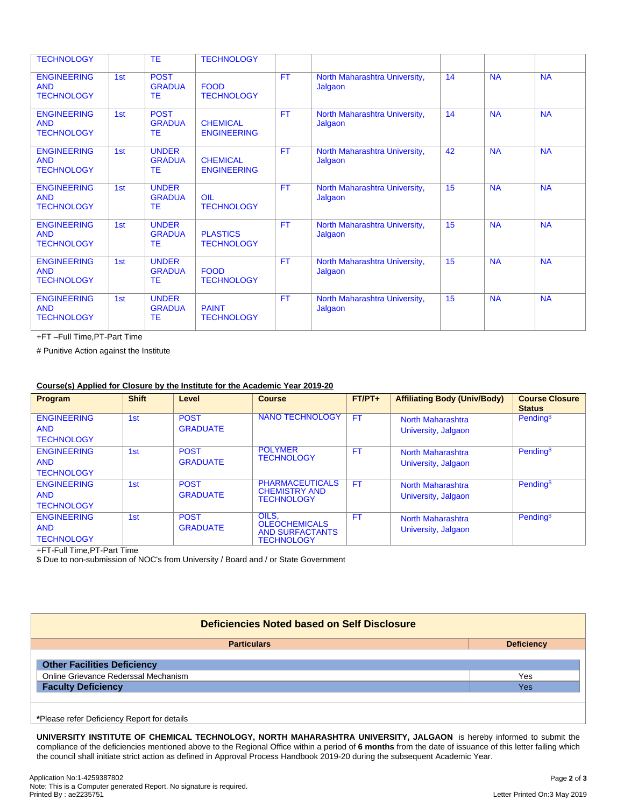| <b>TECHNOLOGY</b>                                     |     | <b>TE</b>                                  | <b>TECHNOLOGY</b>                     |           |                                          |    |           |           |
|-------------------------------------------------------|-----|--------------------------------------------|---------------------------------------|-----------|------------------------------------------|----|-----------|-----------|
| <b>ENGINEERING</b><br><b>AND</b><br><b>TECHNOLOGY</b> | 1st | <b>POST</b><br><b>GRADUA</b><br><b>TE</b>  | <b>FOOD</b><br><b>TECHNOLOGY</b>      | <b>FT</b> | North Maharashtra University,<br>Jalgaon | 14 | <b>NA</b> | <b>NA</b> |
| <b>ENGINEERING</b><br><b>AND</b><br><b>TECHNOLOGY</b> | 1st | <b>POST</b><br><b>GRADUA</b><br><b>TE</b>  | <b>CHEMICAL</b><br><b>ENGINEERING</b> | <b>FT</b> | North Maharashtra University,<br>Jalgaon | 14 | <b>NA</b> | <b>NA</b> |
| <b>ENGINEERING</b><br><b>AND</b><br><b>TECHNOLOGY</b> | 1st | <b>UNDER</b><br><b>GRADUA</b><br><b>TE</b> | <b>CHEMICAL</b><br><b>ENGINEERING</b> | <b>FT</b> | North Maharashtra University,<br>Jalgaon | 42 | <b>NA</b> | <b>NA</b> |
| <b>ENGINEERING</b><br><b>AND</b><br><b>TECHNOLOGY</b> | 1st | <b>UNDER</b><br><b>GRADUA</b><br>TE.       | OIL<br><b>TECHNOLOGY</b>              | <b>FT</b> | North Maharashtra University,<br>Jalgaon | 15 | <b>NA</b> | <b>NA</b> |
| <b>ENGINEERING</b><br><b>AND</b><br><b>TECHNOLOGY</b> | 1st | <b>UNDER</b><br><b>GRADUA</b><br><b>TE</b> | <b>PLASTICS</b><br><b>TECHNOLOGY</b>  | <b>FT</b> | North Maharashtra University,<br>Jalgaon | 15 | <b>NA</b> | <b>NA</b> |
| <b>ENGINEERING</b><br><b>AND</b><br><b>TECHNOLOGY</b> | 1st | <b>UNDER</b><br><b>GRADUA</b><br><b>TE</b> | <b>FOOD</b><br><b>TECHNOLOGY</b>      | <b>FT</b> | North Maharashtra University,<br>Jalgaon | 15 | <b>NA</b> | <b>NA</b> |
| <b>ENGINEERING</b><br><b>AND</b><br><b>TECHNOLOGY</b> | 1st | <b>UNDER</b><br><b>GRADUA</b><br><b>TE</b> | <b>PAINT</b><br><b>TECHNOLOGY</b>     | <b>FT</b> | North Maharashtra University,<br>Jalgaon | 15 | <b>NA</b> | <b>NA</b> |

+FT –Full Time,PT-Part Time

# Punitive Action against the Institute

## **Course(s) Applied for Closure by the Institute for the Academic Year 2019-20**

| Program                                               | <b>Shift</b> | Level                          | <b>Course</b>                                                                | $FT/PT+$  | <b>Affiliating Body (Univ/Body)</b>             | <b>Course Closure</b><br><b>Status</b> |
|-------------------------------------------------------|--------------|--------------------------------|------------------------------------------------------------------------------|-----------|-------------------------------------------------|----------------------------------------|
| <b>ENGINEERING</b><br><b>AND</b><br><b>TECHNOLOGY</b> | 1st          | <b>POST</b><br><b>GRADUATE</b> | <b>NANO TECHNOLOGY</b>                                                       | FT.       | <b>North Maharashtra</b><br>University, Jalgaon | Pending <sup>\$</sup>                  |
| <b>ENGINEERING</b><br><b>AND</b><br><b>TECHNOLOGY</b> | 1st          | <b>POST</b><br><b>GRADUATE</b> | <b>POLYMER</b><br><b>TECHNOLOGY</b>                                          | <b>FT</b> | North Maharashtra<br>University, Jalgaon        | Pending <sup>\$</sup>                  |
| <b>ENGINEERING</b><br><b>AND</b><br><b>TECHNOLOGY</b> | 1st          | <b>POST</b><br><b>GRADUATE</b> | <b>PHARMACEUTICALS</b><br><b>CHEMISTRY AND</b><br><b>TECHNOLOGY</b>          | <b>FT</b> | North Maharashtra<br>University, Jalgaon        | Pending <sup>\$</sup>                  |
| <b>ENGINEERING</b><br><b>AND</b><br><b>TECHNOLOGY</b> | 1st          | <b>POST</b><br><b>GRADUATE</b> | OILS.<br><b>OLEOCHEMICALS</b><br><b>AND SURFACTANTS</b><br><b>TECHNOLOGY</b> | <b>FT</b> | North Maharashtra<br>University, Jalgaon        | Pending <sup>\$</sup>                  |

+FT-Full Time,PT-Part Time

\$ Due to non-submission of NOC's from University / Board and / or State Government

| Deficiencies Noted based on Self Disclosure |                   |  |  |  |
|---------------------------------------------|-------------------|--|--|--|
| <b>Particulars</b>                          | <b>Deficiency</b> |  |  |  |
|                                             |                   |  |  |  |
| <b>Other Facilities Deficiency</b>          |                   |  |  |  |
| Online Grievance Rederssal Mechanism        | Yes               |  |  |  |
| <b>Faculty Deficiency</b>                   | Yes               |  |  |  |
|                                             |                   |  |  |  |
|                                             |                   |  |  |  |

**\***Please refer Deficiency Report for details

**UNIVERSITY INSTITUTE OF CHEMICAL TECHNOLOGY, NORTH MAHARASHTRA UNIVERSITY, JALGAON** is hereby informed to submit the compliance of the deficiencies mentioned above to the Regional Office within a period of **6 months** from the date of issuance of this letter failing which the council shall initiate strict action as defined in Approval Process Handbook 2019-20 during the subsequent Academic Year.